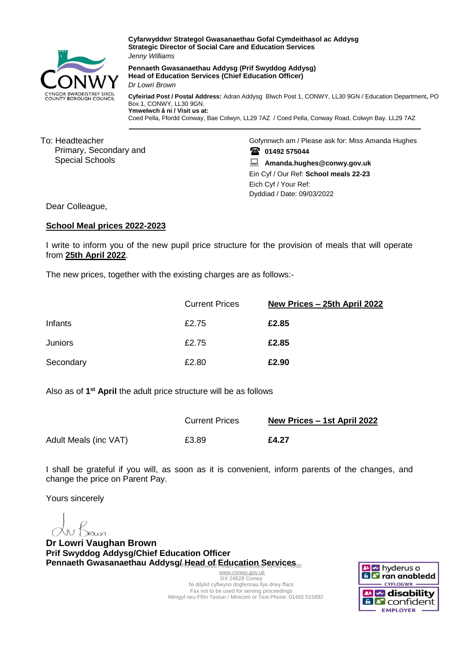

**Cyfarwyddwr Strategol Gwasanaethau Gofal Cymdeithasol ac Addysg Strategic Director of Social Care and Education Services** *Jenny Williams*

**Pennaeth Gwasanaethau Addysg (Prif Swyddog Addysg) Head of Education Services (Chief Education Officer)** *Dr Lowri Brown*

**Cyfeiriad Post / Postal Address:** Adran Addysg Blwch Post 1, CONWY, LL30 9GN / Education Department**,** PO Box 1, CONWY, LL30 9GN, **Ymwelwch â ni / Visit us at:** Coed Pella, Ffordd Conway, Bae Colwyn, LL29 7AZ / Coed Pella, Conway Road, Colwyn Bay. LL29 7AZ

To: Headteacher Primary, Secondary and Special Schools

Gofynnwch am / Please ask for: Miss Amanda Hughes **01492 575044**

 **Amanda.hughes@conwy.gov.uk** Ein Cyf / Our Ref: **School meals 22-23** Eich Cyf / Your Ref: Dyddiad / Date: 09/03/2022

Dear Colleague,

## **School Meal prices 2022-2023**

I write to inform you of the new pupil price structure for the provision of meals that will operate from **25th April 2022**.

The new prices, together with the existing charges are as follows:-

|                | <b>Current Prices</b> | New Prices - 25th April 2022 |
|----------------|-----------------------|------------------------------|
| Infants        | £2.75                 | £2.85                        |
| <b>Juniors</b> | £2.75                 | £2.85                        |
| Secondary      | £2.80                 | £2.90                        |

Also as of **1 st April** the adult price structure will be as follows

|                       | <b>Current Prices</b> | New Prices - 1st April 2022 |
|-----------------------|-----------------------|-----------------------------|
| Adult Meals (inc VAT) | £3.89                 | £4.27                       |

I shall be grateful if you will, as soon as it is convenient, inform parents of the changes, and change the price on Parent Pay.

Yours sincerely

 $N.$ Drown

**Dr Lowri Vaughan Brown Prif Swyddog Addysg/Chief Education Officer** Pennaeth Gwasanaethau Addysg/ H<u>ead of</u> Education Services。

[www.conwy.gov.uk](http://www.conwy.gov.uk/) DX 24628 Conwy Ni ddylid cyflwyno dogfennau llys drwy ffacs Fax not to be used for serving proceedings Minigyf neu Ffôn Testun / Minicom or Text Phone: 01492 515892